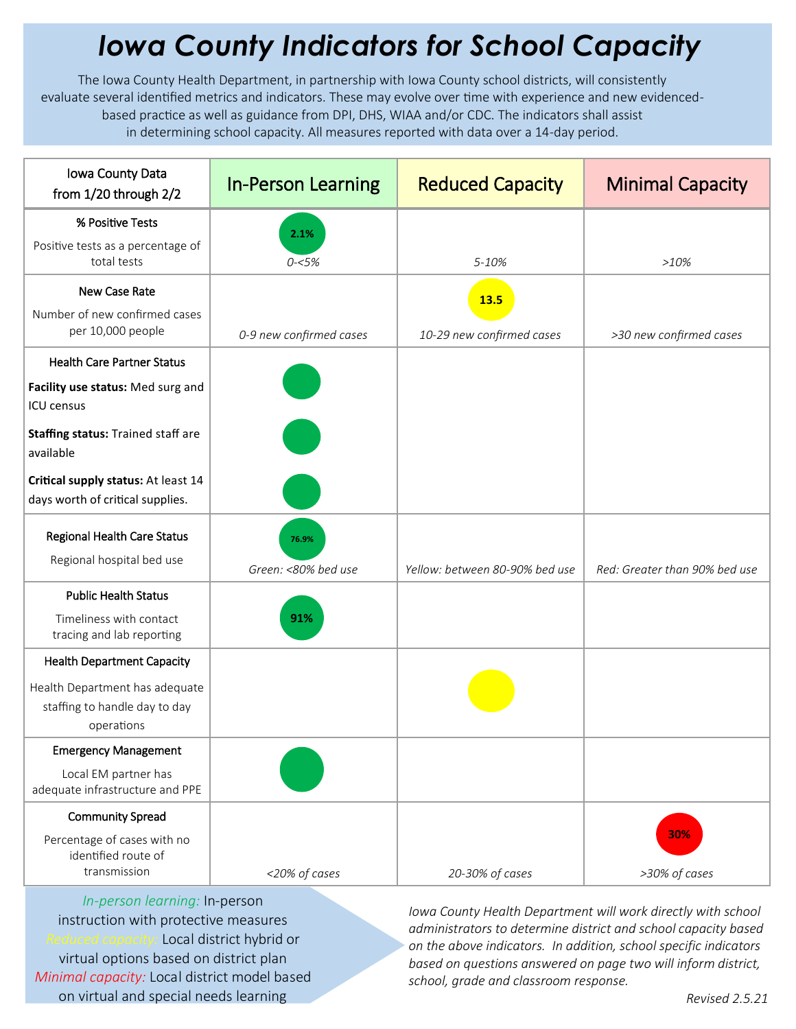## *Iowa County Indicators for School Capacity*

The Iowa County Health Department, in partnership with Iowa County school districts, will consistently evaluate several identified metrics and indicators. These may evolve over time with experience and new evidencedbased practice as well as guidance from DPI, DHS, WIAA and/or CDC. The indicators shall assist in determining school capacity. All measures reported with data over a 14-day period.

| Iowa County Data<br>from 1/20 through 2/2                                     | <b>In-Person Learning</b> | <b>Reduced Capacity</b>        | <b>Minimal Capacity</b>       |
|-------------------------------------------------------------------------------|---------------------------|--------------------------------|-------------------------------|
| % Positive Tests                                                              | 2.1%                      |                                |                               |
| Positive tests as a percentage of<br>total tests                              | $0 - 5%$                  | 5-10%                          | >10%                          |
| New Case Rate                                                                 |                           | <b>13.5</b>                    |                               |
| Number of new confirmed cases<br>per 10,000 people                            | 0-9 new confirmed cases   | 10-29 new confirmed cases      | >30 new confirmed cases       |
| <b>Health Care Partner Status</b>                                             |                           |                                |                               |
| Facility use status: Med surg and<br>ICU census                               |                           |                                |                               |
| Staffing status: Trained staff are<br>available                               |                           |                                |                               |
| Critical supply status: At least 14<br>days worth of critical supplies.       |                           |                                |                               |
| <b>Regional Health Care Status</b><br>Regional hospital bed use               | 76.9%                     |                                |                               |
|                                                                               | Green: <80% bed use       | Yellow: between 80-90% bed use | Red: Greater than 90% bed use |
| <b>Public Health Status</b>                                                   |                           |                                |                               |
| Timeliness with contact<br>tracing and lab reporting                          | 91%                       |                                |                               |
| <b>Health Department Capacity</b>                                             |                           |                                |                               |
| Health Department has adequate<br>staffing to handle day to day<br>operations |                           |                                |                               |
| <b>Emergency Management</b>                                                   |                           |                                |                               |
| Local EM partner has<br>adequate infrastructure and PPE                       |                           |                                |                               |
| <b>Community Spread</b>                                                       |                           |                                |                               |
| Percentage of cases with no<br>identified route of<br>transmission            | <20% of cases             | 20-30% of cases                | 30%<br>>30% of cases          |
|                                                                               |                           |                                |                               |

*In-person learning:* In-person instruction with protective measures *Reduced capacity:* Local district hybrid or virtual options based on district plan *Minimal capacity:* Local district model based on virtual and special needs learning

*Iowa County Health Department will work directly with school administrators to determine district and school capacity based on the above indicators. In addition, school specific indicators based on questions answered on page two will inform district, school, grade and classroom response.*